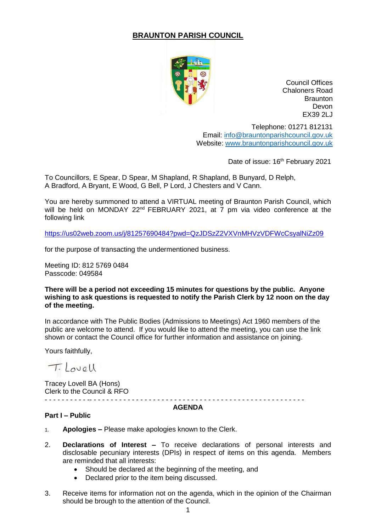# **BRAUNTON PARISH COUNCIL**



Council Offices Chaloners Road **Braunton** Devon EX39 2LJ

Telephone: 01271 812131 Email: [info@brauntonparishcouncil.gov.uk](mailto:info@brauntonparishcouncil.gov.uk) Website: [www.brauntonparishcouncil.gov.uk](http://www.brauntonparishcouncil.gov.uk/)

Date of issue: 16<sup>th</sup> February 2021

To Councillors, E Spear, D Spear, M Shapland, R Shapland, B Bunyard, D Relph, A Bradford, A Bryant, E Wood, G Bell, P Lord, J Chesters and V Cann.

You are hereby summoned to attend a VIRTUAL meeting of Braunton Parish Council, which will be held on MONDAY 22<sup>nd</sup> FEBRUARY 2021, at 7 pm via video conference at the following link

<https://us02web.zoom.us/j/81257690484?pwd=QzJDSzZ2VXVnMHVzVDFWcCsyalNiZz09>

for the purpose of transacting the undermentioned business.

Meeting ID: 812 5769 0484 Passcode: 049584

### **There will be a period not exceeding 15 minutes for questions by the public. Anyone wishing to ask questions is requested to notify the Parish Clerk by 12 noon on the day of the meeting.**

In accordance with The Public Bodies (Admissions to Meetings) Act 1960 members of the public are welcome to attend. If you would like to attend the meeting, you can use the link shown or contact the Council office for further information and assistance on joining.

Yours faithfully,

T. Lovell

Tracey Lovell BA (Hons) Clerk to the Council & RFO - - - - - - - - - - -- - - - - - - - - - - - - - - - - - - - - - - - - - - - - - - - - - - - - - - - - - - - - - - - - - -

#### **AGENDA**

## **Part I – Public**

- 1. **Apologies –** Please make apologies known to the Clerk.
- 2. **Declarations of Interest –** To receive declarations of personal interests and disclosable pecuniary interests (DPIs) in respect of items on this agenda. Members are reminded that all interests:
	- Should be declared at the beginning of the meeting, and
	- Declared prior to the item being discussed.
- 3. Receive items for information not on the agenda, which in the opinion of the Chairman should be brough to the attention of the Council.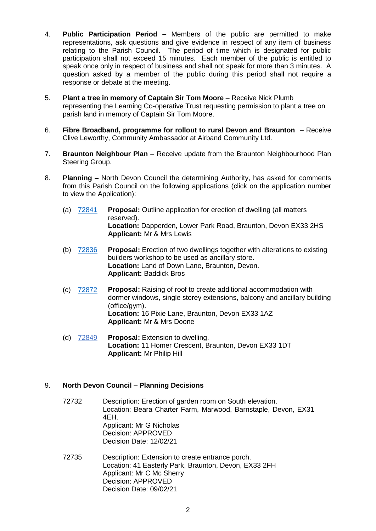- 4. **Public Participation Period –** Members of the public are permitted to make representations, ask questions and give evidence in respect of any item of business relating to the Parish Council. The period of time which is designated for public participation shall not exceed 15 minutes. Each member of the public is entitled to speak once only in respect of business and shall not speak for more than 3 minutes. A question asked by a member of the public during this period shall not require a response or debate at the meeting.
- 5. **Plant a tree in memory of Captain Sir Tom Moore** Receive Nick Plumb representing the Learning Co-operative Trust requesting permission to plant a tree on parish land in memory of Captain Sir Tom Moore.
- 6. **Fibre Broadband, programme for rollout to rural Devon and Braunton** Receive Clive Leworthy, Community Ambassador at Airband Community Ltd.
- 7. **Braunton Neighbour Plan** Receive update from the Braunton Neighbourhood Plan Steering Group.
- 8. **Planning –** North Devon Council the determining Authority, has asked for comments from this Parish Council on the following applications (click on the application number to view the Application):
	- (a) [72841](https://planning.northdevon.gov.uk/Planning/Display/72841) **Proposal:** Outline application for erection of dwelling (all matters reserved). **Location:** Dapperden, Lower Park Road, Braunton, Devon EX33 2HS **Applicant:** Mr & Mrs Lewis
	- (b) [72836](https://planning.northdevon.gov.uk/Planning/Display/72836) **Proposal:** Erection of two dwellings together with alterations to existing builders workshop to be used as ancillary store. **Location:** Land of Down Lane, Braunton, Devon. **Applicant:** Baddick Bros
	- (c) [72872](https://planning.northdevon.gov.uk/Planning/Display/72872) **Proposal:** Raising of roof to create additional accommodation with dormer windows, single storey extensions, balcony and ancillary building (office/gym). **Location:** 16 Pixie Lane, Braunton, Devon EX33 1AZ **Applicant:** Mr & Mrs Doone
	- (d) 72849 **Proposal:** Extension to dwelling. **Location:** 11 Homer Crescent, Braunton, Devon EX33 1DT **Applicant:** Mr Philip Hill

## 9. **North Devon Council – Planning Decisions**

- 72732 Description: Erection of garden room on South elevation. Location: Beara Charter Farm, Marwood, Barnstaple, Devon, EX31 4EH. Applicant: Mr G Nicholas Decision: APPROVED Decision Date: 12/02/21
- 72735 Description: Extension to create entrance porch. Location: 41 Easterly Park, Braunton, Devon, EX33 2FH Applicant: Mr C Mc Sherry Decision: APPROVED Decision Date: 09/02/21